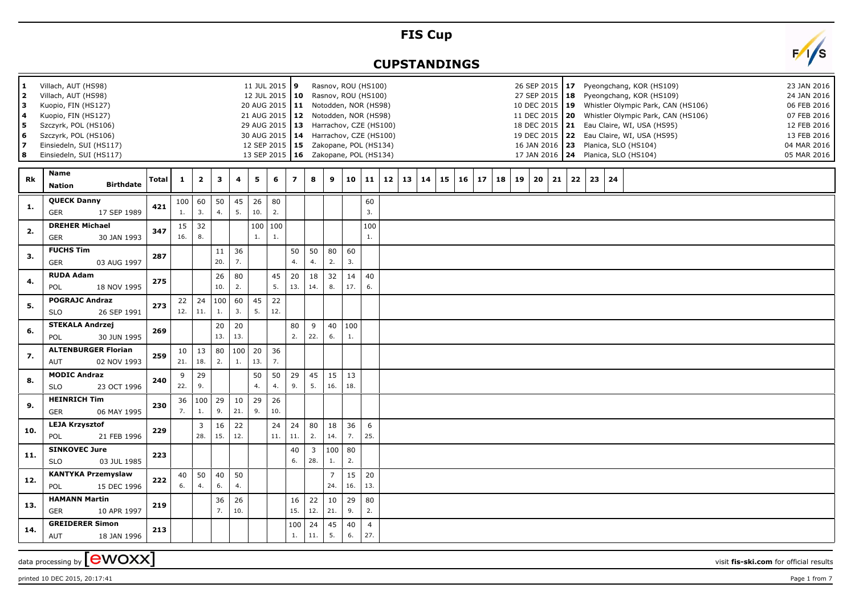## **FIS Cup**

## **CUPSTANDINGS**



printed 10 DEC 2015, 20:17:41 Page 1 from 7

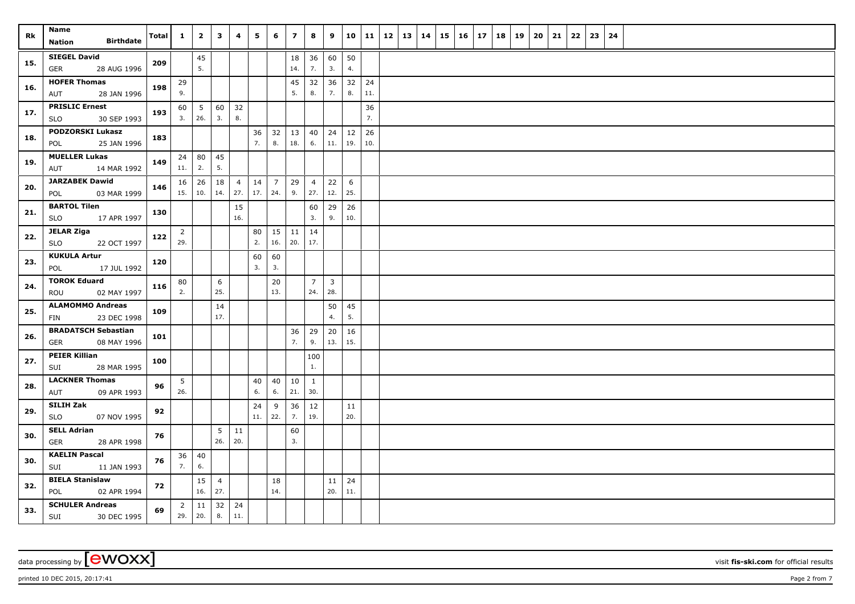| Rk  | Name                                               | Total | $\mathbf{1}$   | $\overline{\mathbf{2}}$ | $\mathbf{3}$   | $\overline{\mathbf{4}}$ | 5              | 6              | $\overline{\phantom{a}}$ | 8              | 9              | 10        | 11       | $12$   13   14 |  | 15 | $16 \mid 17$ | 18 | 19 | 20 | 21 | 22 | 23 | 24 |  |
|-----|----------------------------------------------------|-------|----------------|-------------------------|----------------|-------------------------|----------------|----------------|--------------------------|----------------|----------------|-----------|----------|----------------|--|----|--------------|----|----|----|----|----|----|----|--|
|     | <b>Birthdate</b><br>Nation                         |       |                |                         |                |                         |                |                |                          |                |                |           |          |                |  |    |              |    |    |    |    |    |    |    |  |
| 15. | <b>SIEGEL David</b>                                | 209   |                | 45                      |                |                         |                |                | 18                       | 36             | 60             | 50        |          |                |  |    |              |    |    |    |    |    |    |    |  |
|     | GER<br>28 AUG 1996                                 |       |                | 5.                      |                |                         |                |                | 14.                      | 7.             | 3.             | 4.        |          |                |  |    |              |    |    |    |    |    |    |    |  |
| 16. | <b>HOFER Thomas</b>                                | 198   | 29             |                         |                |                         |                |                | 45<br>5.                 | 32<br>8.       | 36             | 32<br>8.  | 24       |                |  |    |              |    |    |    |    |    |    |    |  |
|     | 28 JAN 1996<br>AUT                                 |       | 9.             |                         |                |                         |                |                |                          |                | 7.             |           | 11.      |                |  |    |              |    |    |    |    |    |    |    |  |
| 17. | <b>PRISLIC Ernest</b><br><b>SLO</b><br>30 SEP 1993 | 193   | 60<br>3.       | $5\phantom{.0}$<br>26.  | 60<br>3.       | 32<br>8.                |                |                |                          |                |                |           | 36<br>7. |                |  |    |              |    |    |    |    |    |    |    |  |
|     | <b>PODZORSKI Lukasz</b>                            |       |                |                         |                |                         | 36             | 32             | 13                       | 40             | 24             | 12        | 26       |                |  |    |              |    |    |    |    |    |    |    |  |
| 18. | 25 JAN 1996<br>POL                                 | 183   |                |                         |                |                         | 7.             | 8.             | 18.                      | 6.             | 11.            | 19.       | 10.      |                |  |    |              |    |    |    |    |    |    |    |  |
| 19. | <b>MUELLER Lukas</b>                               | 149   | 24             | 80                      | 45             |                         |                |                |                          |                |                |           |          |                |  |    |              |    |    |    |    |    |    |    |  |
|     | AUT<br>14 MAR 1992                                 |       | 11.            | 2.                      | 5.             |                         |                |                |                          |                |                |           |          |                |  |    |              |    |    |    |    |    |    |    |  |
| 20. | <b>JARZABEK Dawid</b>                              | 146   | 16             | 26                      | 18             | $\overline{4}$          | 14             | $\overline{7}$ | 29                       | $\overline{4}$ | 22             | 6         |          |                |  |    |              |    |    |    |    |    |    |    |  |
|     | 03 MAR 1999<br>POL                                 |       | 15.            | 10.                     | 14.            | 27.                     | 17.            | 24.            | 9.                       | 27.            | 12.            | 25.       |          |                |  |    |              |    |    |    |    |    |    |    |  |
| 21. | <b>BARTOL Tilen</b>                                | 130   |                |                         |                | 15                      |                |                |                          | 60             | 29             | 26        |          |                |  |    |              |    |    |    |    |    |    |    |  |
|     | 17 APR 1997<br><b>SLO</b>                          |       |                |                         |                | 16.                     |                |                |                          | 3.             | 9.             | 10.       |          |                |  |    |              |    |    |    |    |    |    |    |  |
| 22. | <b>JELAR Ziga</b>                                  | 122   | $\overline{2}$ |                         |                |                         | 80<br>2.       | 15             | 11                       | 14             |                |           |          |                |  |    |              |    |    |    |    |    |    |    |  |
|     | SLO<br>22 OCT 1997                                 |       | 29.            |                         |                |                         |                | 16.            | 20.                      | 17.            |                |           |          |                |  |    |              |    |    |    |    |    |    |    |  |
| 23. | <b>KUKULA Artur</b><br>17 JUL 1992<br>POL          | 120   |                |                         |                |                         | 60<br>3.       | 60<br>3.       |                          |                |                |           |          |                |  |    |              |    |    |    |    |    |    |    |  |
|     | <b>TOROK Eduard</b>                                |       | 80             |                         | 6              |                         |                | 20             |                          | $\overline{7}$ | $\overline{3}$ |           |          |                |  |    |              |    |    |    |    |    |    |    |  |
| 24. | ROU<br>02 MAY 1997                                 | 116   | 2.             |                         | 25.            |                         |                | 13.            |                          | 24.            | 28.            |           |          |                |  |    |              |    |    |    |    |    |    |    |  |
|     | <b>ALAMOMMO Andreas</b>                            |       |                |                         | 14             |                         |                |                |                          |                | 50             | 45        |          |                |  |    |              |    |    |    |    |    |    |    |  |
| 25. | FIN<br>23 DEC 1998                                 | 109   |                |                         | 17.            |                         |                |                |                          |                | 4.             | 5.        |          |                |  |    |              |    |    |    |    |    |    |    |  |
| 26. | <b>BRADATSCH Sebastian</b>                         | 101   |                |                         |                |                         |                |                | 36                       | 29             | 20             | 16        |          |                |  |    |              |    |    |    |    |    |    |    |  |
|     | 08 MAY 1996<br>GER                                 |       |                |                         |                |                         |                |                | 7.                       | 9.             | 13.            | 15.       |          |                |  |    |              |    |    |    |    |    |    |    |  |
| 27. | <b>PEIER Killian</b>                               | 100   |                |                         |                |                         |                |                |                          | 100            |                |           |          |                |  |    |              |    |    |    |    |    |    |    |  |
|     | SUI<br>28 MAR 1995                                 |       |                |                         |                |                         |                |                |                          | 1.             |                |           |          |                |  |    |              |    |    |    |    |    |    |    |  |
| 28. | <b>LACKNER Thomas</b>                              | 96    | 5              |                         |                |                         | 40             | 40             | $10\,$                   | 1              |                |           |          |                |  |    |              |    |    |    |    |    |    |    |  |
|     | 09 APR 1993<br>AUT                                 |       | 26.            |                         |                |                         | 6.             | 6.             | 21.                      | 30.            |                |           |          |                |  |    |              |    |    |    |    |    |    |    |  |
| 29. | SILIH Zak<br><b>SLO</b>                            | 92    |                |                         |                |                         | 24<br>$11. \,$ | 9<br>22.       | 36<br>7.                 | 12<br>19.      |                | 11<br>20. |          |                |  |    |              |    |    |    |    |    |    |    |  |
|     | 07 NOV 1995<br><b>SELL Adrian</b>                  |       |                |                         |                |                         |                |                |                          |                |                |           |          |                |  |    |              |    |    |    |    |    |    |    |  |
| 30. | GER<br>28 APR 1998                                 | 76    |                |                         | 5<br>26.       | 11<br>20.               |                |                | 60<br>3.                 |                |                |           |          |                |  |    |              |    |    |    |    |    |    |    |  |
|     | <b>KAELIN Pascal</b>                               |       | 36             | 40                      |                |                         |                |                |                          |                |                |           |          |                |  |    |              |    |    |    |    |    |    |    |  |
| 30. | SUI<br>11 JAN 1993                                 | 76    | 7.             | 6.                      |                |                         |                |                |                          |                |                |           |          |                |  |    |              |    |    |    |    |    |    |    |  |
|     | <b>BIELA Stanislaw</b>                             |       |                | 15                      | $\overline{4}$ |                         |                | 18             |                          |                | 11             | 24        |          |                |  |    |              |    |    |    |    |    |    |    |  |
| 32. | POL<br>02 APR 1994                                 | 72    |                | 16.                     | 27.            |                         |                | 14.            |                          |                | 20.            | 11.       |          |                |  |    |              |    |    |    |    |    |    |    |  |
| 33. | <b>SCHULER Andreas</b>                             | 69    | $\overline{2}$ | 11                      | 32             | 24                      |                |                |                          |                |                |           |          |                |  |    |              |    |    |    |    |    |    |    |  |
|     | <b>SUI</b><br>30 DEC 1995                          |       | 29.            | 20.                     | 8.             | 11.                     |                |                |                          |                |                |           |          |                |  |    |              |    |    |    |    |    |    |    |  |

data processing by **CWOXX** visit fis-ski.com for official results

 $p$ rinted 10 DEC 2015, 20:17:41  $p$ age 2 from 7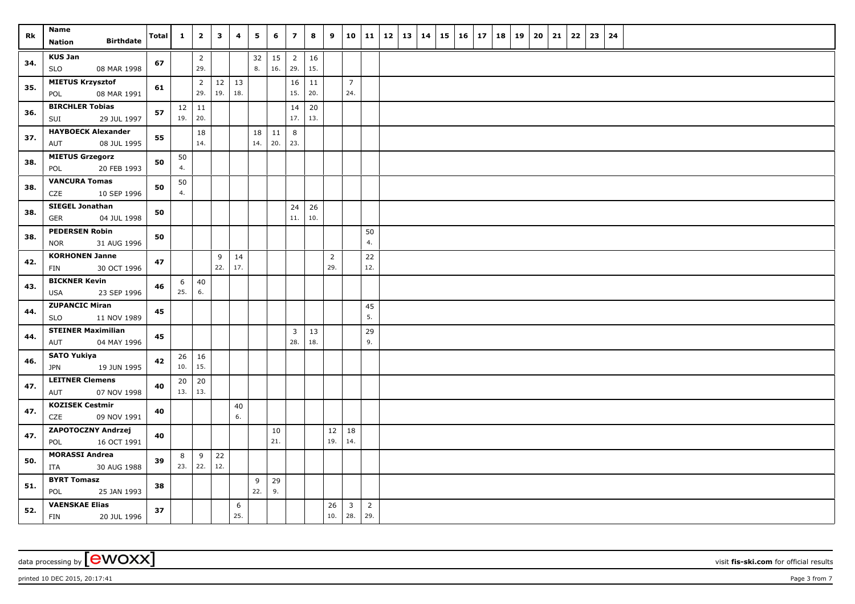| Rk  | Name<br><b>Birthdate</b><br>Nation           | Total | $\mathbf{1}$ | $\overline{2}$        | $\mathbf{3}$ | 4        | 5         | 6         | $\overline{z}$        | 8         | 9              | 10                      | 11             | 12 | 13 | 14 | $15 \mid 16 \mid$ | 17 | 18 | 19 | 20 | 21 | 22 | 23 | 24 |  |
|-----|----------------------------------------------|-------|--------------|-----------------------|--------------|----------|-----------|-----------|-----------------------|-----------|----------------|-------------------------|----------------|----|----|----|-------------------|----|----|----|----|----|----|----|----|--|
|     |                                              |       |              |                       |              |          |           |           |                       |           |                |                         |                |    |    |    |                   |    |    |    |    |    |    |    |    |  |
| 34. | <b>KUS Jan</b><br><b>SLO</b><br>08 MAR 1998  | 67    |              | $\overline{2}$<br>29. |              |          | 32<br>8.  | 15<br>16. | $\overline{2}$<br>29. | 16<br>15. |                |                         |                |    |    |    |                   |    |    |    |    |    |    |    |    |  |
|     | <b>MIETUS Krzysztof</b>                      |       |              | $\overline{2}$        | 12           | 13       |           |           | 16                    | 11        |                | $7\overline{ }$         |                |    |    |    |                   |    |    |    |    |    |    |    |    |  |
| 35. | POL<br>08 MAR 1991                           | 61    |              | 29.                   | 19.          | 18.      |           |           | 15.                   | 20.       |                | 24.                     |                |    |    |    |                   |    |    |    |    |    |    |    |    |  |
| 36. | <b>BIRCHLER Tobias</b><br>SUI<br>29 JUL 1997 | 57    | 19.          | $12 \mid 11$<br>20.   |              |          |           |           | 14<br>17.             | 20<br>13. |                |                         |                |    |    |    |                   |    |    |    |    |    |    |    |    |  |
|     | <b>HAYBOECK Alexander</b>                    |       |              |                       |              |          |           |           |                       |           |                |                         |                |    |    |    |                   |    |    |    |    |    |    |    |    |  |
| 37. | 08 JUL 1995<br>AUT                           | 55    |              | 18<br>14.             |              |          | 18<br>14. | 11<br>20. | 8<br>23.              |           |                |                         |                |    |    |    |                   |    |    |    |    |    |    |    |    |  |
| 38. | <b>MIETUS Grzegorz</b>                       | 50    | 50           |                       |              |          |           |           |                       |           |                |                         |                |    |    |    |                   |    |    |    |    |    |    |    |    |  |
|     | 20 FEB 1993<br>POL                           |       | 4.           |                       |              |          |           |           |                       |           |                |                         |                |    |    |    |                   |    |    |    |    |    |    |    |    |  |
| 38. | <b>VANCURA Tomas</b><br>CZE<br>10 SEP 1996   | 50    | 50<br>4.     |                       |              |          |           |           |                       |           |                |                         |                |    |    |    |                   |    |    |    |    |    |    |    |    |  |
|     | <b>SIEGEL Jonathan</b>                       |       |              |                       |              |          |           |           | 24                    | 26        |                |                         |                |    |    |    |                   |    |    |    |    |    |    |    |    |  |
| 38. | <b>GER</b><br>04 JUL 1998                    | 50    |              |                       |              |          |           |           | 11.                   | 10.       |                |                         |                |    |    |    |                   |    |    |    |    |    |    |    |    |  |
|     | <b>PEDERSEN Robin</b>                        |       |              |                       |              |          |           |           |                       |           |                |                         | 50             |    |    |    |                   |    |    |    |    |    |    |    |    |  |
| 38. | <b>NOR</b><br>31 AUG 1996                    | 50    |              |                       |              |          |           |           |                       |           |                |                         | 4.             |    |    |    |                   |    |    |    |    |    |    |    |    |  |
| 42. | <b>KORHONEN Janne</b>                        | 47    |              |                       | 9            | 14       |           |           |                       |           | $\overline{2}$ |                         | 22             |    |    |    |                   |    |    |    |    |    |    |    |    |  |
|     | <b>FIN</b><br>30 OCT 1996                    |       |              |                       | 22.          | 17.      |           |           |                       |           | 29.            |                         | 12.            |    |    |    |                   |    |    |    |    |    |    |    |    |  |
| 43. | <b>BICKNER Kevin</b>                         | 46    | 6            | 40                    |              |          |           |           |                       |           |                |                         |                |    |    |    |                   |    |    |    |    |    |    |    |    |  |
|     | <b>USA</b><br>23 SEP 1996                    |       | 25.          | 6.                    |              |          |           |           |                       |           |                |                         |                |    |    |    |                   |    |    |    |    |    |    |    |    |  |
| 44. | <b>ZUPANCIC Miran</b>                        | 45    |              |                       |              |          |           |           |                       |           |                |                         | 45             |    |    |    |                   |    |    |    |    |    |    |    |    |  |
|     | <b>SLO</b><br>11 NOV 1989                    |       |              |                       |              |          |           |           |                       |           |                |                         | 5.             |    |    |    |                   |    |    |    |    |    |    |    |    |  |
| 44. | <b>STEINER Maximilian</b>                    | 45    |              |                       |              |          |           |           | $\overline{3}$        | 13        |                |                         | 29             |    |    |    |                   |    |    |    |    |    |    |    |    |  |
|     | 04 MAY 1996<br>AUT                           |       |              |                       |              |          |           |           | 28.                   | 18.       |                |                         | 9.             |    |    |    |                   |    |    |    |    |    |    |    |    |  |
| 46. | <b>SATO Yukiya</b>                           | 42    |              | $26 \mid 16$          |              |          |           |           |                       |           |                |                         |                |    |    |    |                   |    |    |    |    |    |    |    |    |  |
|     | 19 JUN 1995<br><b>JPN</b>                    |       | 10.          | 15.                   |              |          |           |           |                       |           |                |                         |                |    |    |    |                   |    |    |    |    |    |    |    |    |  |
| 47. | <b>LEITNER Clemens</b>                       | 40    | 20           | 20                    |              |          |           |           |                       |           |                |                         |                |    |    |    |                   |    |    |    |    |    |    |    |    |  |
|     | 07 NOV 1998<br>AUT                           |       | $13.$ 13.    |                       |              |          |           |           |                       |           |                |                         |                |    |    |    |                   |    |    |    |    |    |    |    |    |  |
| 47. | <b>KOZISEK Cestmir</b><br>CZE<br>09 NOV 1991 | 40    |              |                       |              | 40<br>6. |           |           |                       |           |                |                         |                |    |    |    |                   |    |    |    |    |    |    |    |    |  |
| 47. | ZAPOTOCZNY Andrzej                           | 40    |              |                       |              |          |           | 10        |                       |           | 12             | 18                      |                |    |    |    |                   |    |    |    |    |    |    |    |    |  |
|     | POL<br>16 OCT 1991                           |       |              |                       |              |          |           | 21.       |                       |           | 19.            | 14.                     |                |    |    |    |                   |    |    |    |    |    |    |    |    |  |
| 50. | <b>MORASSI Andrea</b>                        | 39    | 8            | 9                     | 22           |          |           |           |                       |           |                |                         |                |    |    |    |                   |    |    |    |    |    |    |    |    |  |
|     | ITA<br>30 AUG 1988                           |       | 23.          | 22.                   | 12.          |          |           |           |                       |           |                |                         |                |    |    |    |                   |    |    |    |    |    |    |    |    |  |
| 51. | <b>BYRT Tomasz</b><br>POL<br>25 JAN 1993     | 38    |              |                       |              |          | 9<br>22.  | 29<br>9.  |                       |           |                |                         |                |    |    |    |                   |    |    |    |    |    |    |    |    |  |
|     | <b>VAENSKAE Elias</b>                        |       |              |                       |              | 6        |           |           |                       |           | 26             | $\overline{\mathbf{3}}$ | $\overline{2}$ |    |    |    |                   |    |    |    |    |    |    |    |    |  |
| 52. | FIN<br>20 JUL 1996                           | 37    |              |                       |              | 25.      |           |           |                       |           | 10.            | 28.                     | 29.            |    |    |    |                   |    |    |    |    |    |    |    |    |  |

data processing by **CWOXX** visit fis-ski.com for official results

 $p$ rinted 10 DEC 2015, 20:17:41  $p$ age 3 from 7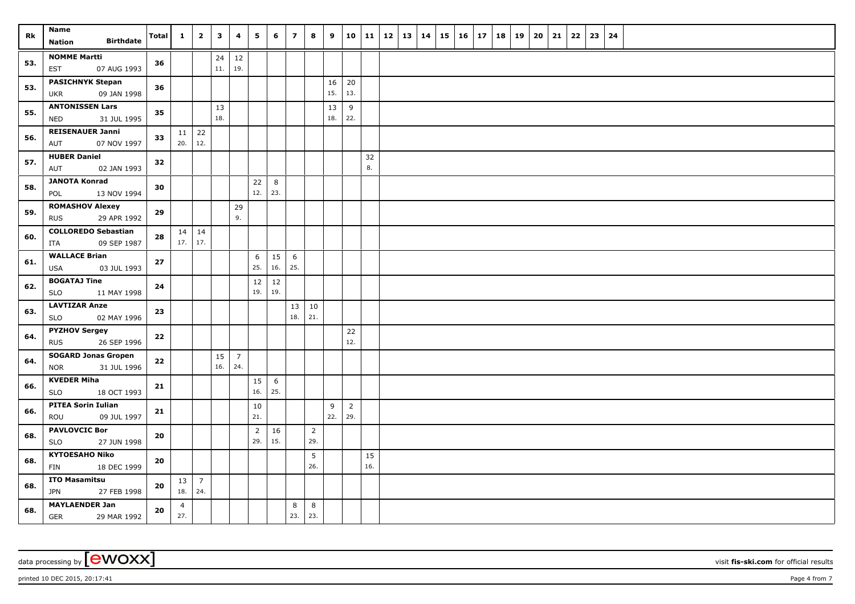| Rk  | Name<br><b>Birthdate</b>                                | Total | $\mathbf{1}$             | $\overline{\mathbf{2}}$ | $\mathbf{3}$ | 4                      | 5              | 6               | $\overline{7}$ | 8              | 9         | 10             | 11        | 12 | 13 | 14 | 15 16 | 17 | 18 | 19 | 20 | 21 | 22 | 23 | 24 |  |
|-----|---------------------------------------------------------|-------|--------------------------|-------------------------|--------------|------------------------|----------------|-----------------|----------------|----------------|-----------|----------------|-----------|----|----|----|-------|----|----|----|----|----|----|----|----|--|
|     | Nation                                                  |       |                          |                         |              |                        |                |                 |                |                |           |                |           |    |    |    |       |    |    |    |    |    |    |    |    |  |
| 53. | <b>NOMME Martti</b><br>07 AUG 1993<br>EST               | 36    |                          |                         | 24<br>11.    | 12<br>19.              |                |                 |                |                |           |                |           |    |    |    |       |    |    |    |    |    |    |    |    |  |
|     | <b>PASICHNYK Stepan</b>                                 |       |                          |                         |              |                        |                |                 |                |                | 16        | 20             |           |    |    |    |       |    |    |    |    |    |    |    |    |  |
| 53. | 09 JAN 1998<br><b>UKR</b>                               | 36    |                          |                         |              |                        |                |                 |                |                | 15.       | 13.            |           |    |    |    |       |    |    |    |    |    |    |    |    |  |
| 55. | <b>ANTONISSEN Lars</b><br>31 JUL 1995<br>NED            | 35    |                          |                         | 13<br>18.    |                        |                |                 |                |                | 13<br>18. | 9<br>22.       |           |    |    |    |       |    |    |    |    |    |    |    |    |  |
|     | <b>REISENAUER Janni</b>                                 |       | $11 \mid 22$             |                         |              |                        |                |                 |                |                |           |                |           |    |    |    |       |    |    |    |    |    |    |    |    |  |
| 56. | AUT<br>07 NOV 1997                                      | 33    | 20.                      | 12.                     |              |                        |                |                 |                |                |           |                |           |    |    |    |       |    |    |    |    |    |    |    |    |  |
| 57. | <b>HUBER Daniel</b>                                     | 32    |                          |                         |              |                        |                |                 |                |                |           |                | 32        |    |    |    |       |    |    |    |    |    |    |    |    |  |
|     | 02 JAN 1993<br>AUT                                      |       |                          |                         |              |                        |                |                 |                |                |           |                | 8.        |    |    |    |       |    |    |    |    |    |    |    |    |  |
| 58. | <b>JANOTA Konrad</b><br>POL<br>13 NOV 1994              | 30    |                          |                         |              |                        | $22$<br>12.    | 8<br>23.        |                |                |           |                |           |    |    |    |       |    |    |    |    |    |    |    |    |  |
|     | <b>ROMASHOV Alexey</b>                                  |       |                          |                         |              | 29                     |                |                 |                |                |           |                |           |    |    |    |       |    |    |    |    |    |    |    |    |  |
| 59. | 29 APR 1992<br><b>RUS</b>                               | 29    |                          |                         |              | 9.                     |                |                 |                |                |           |                |           |    |    |    |       |    |    |    |    |    |    |    |    |  |
| 60. | <b>COLLOREDO Sebastian</b>                              | 28    | $14 \mid 14$             |                         |              |                        |                |                 |                |                |           |                |           |    |    |    |       |    |    |    |    |    |    |    |    |  |
|     | 09 SEP 1987<br>ITA                                      |       | $17.$ 17.                |                         |              |                        |                |                 |                |                |           |                |           |    |    |    |       |    |    |    |    |    |    |    |    |  |
| 61. | <b>WALLACE Brian</b>                                    | 27    |                          |                         |              |                        | 6              | 15              | 6              |                |           |                |           |    |    |    |       |    |    |    |    |    |    |    |    |  |
|     | USA<br>03 JUL 1993                                      |       |                          |                         |              |                        | 25.            | 16.             | 25.            |                |           |                |           |    |    |    |       |    |    |    |    |    |    |    |    |  |
| 62. | <b>BOGATAJ Tine</b><br><b>SLO</b><br>11 MAY 1998        | 24    |                          |                         |              |                        | 12<br>19.      | 12<br>19.       |                |                |           |                |           |    |    |    |       |    |    |    |    |    |    |    |    |  |
| 63. | <b>LAVTIZAR Anze</b>                                    | 23    |                          |                         |              |                        |                |                 | 13             | 10             |           |                |           |    |    |    |       |    |    |    |    |    |    |    |    |  |
|     | SLO<br>02 MAY 1996                                      |       |                          |                         |              |                        |                |                 | 18.            | 21.            |           |                |           |    |    |    |       |    |    |    |    |    |    |    |    |  |
| 64. | <b>PYZHOV Sergey</b>                                    | 22    |                          |                         |              |                        |                |                 |                |                |           | 22             |           |    |    |    |       |    |    |    |    |    |    |    |    |  |
|     | 26 SEP 1996<br><b>RUS</b>                               |       |                          |                         |              |                        |                |                 |                |                |           | 12.            |           |    |    |    |       |    |    |    |    |    |    |    |    |  |
| 64. | <b>SOGARD Jonas Gropen</b><br>31 JUL 1996<br><b>NOR</b> | 22    |                          |                         | 15<br>16.    | $7\overline{ }$<br>24. |                |                 |                |                |           |                |           |    |    |    |       |    |    |    |    |    |    |    |    |  |
|     | <b>KVEDER Miha</b>                                      | 21    |                          |                         |              |                        | 15             | $6\phantom{.}6$ |                |                |           |                |           |    |    |    |       |    |    |    |    |    |    |    |    |  |
| 66. | 18 OCT 1993<br>SLO                                      |       |                          |                         |              |                        | 16.            | 25.             |                |                |           |                |           |    |    |    |       |    |    |    |    |    |    |    |    |  |
| 66. | <b>PITEA Sorin Iulian</b>                               | 21    |                          |                         |              |                        | 10             |                 |                |                | 9         | $\overline{2}$ |           |    |    |    |       |    |    |    |    |    |    |    |    |  |
|     | 09 JUL 1997<br>ROU                                      |       |                          |                         |              |                        | 21.            |                 |                |                | 22.       | 29.            |           |    |    |    |       |    |    |    |    |    |    |    |    |  |
| 68. | <b>PAVLOVCIC Bor</b>                                    | 20    |                          |                         |              |                        | $\overline{2}$ | 16              |                | $\overline{2}$ |           |                |           |    |    |    |       |    |    |    |    |    |    |    |    |  |
|     | <b>SLO</b><br>27 JUN 1998                               |       |                          |                         |              |                        | 29.            | 15.             |                | 29.            |           |                |           |    |    |    |       |    |    |    |    |    |    |    |    |  |
| 68. | <b>KYTOESAHO Niko</b>                                   | 20    |                          |                         |              |                        |                |                 |                | 5<br>26.       |           |                | 15<br>16. |    |    |    |       |    |    |    |    |    |    |    |    |  |
|     | 18 DEC 1999<br>FIN<br><b>ITO Masamitsu</b>              |       |                          |                         |              |                        |                |                 |                |                |           |                |           |    |    |    |       |    |    |    |    |    |    |    |    |  |
| 68. | JPN<br>27 FEB 1998                                      | 20    | $13 \mid 7$<br>18.   24. |                         |              |                        |                |                 |                |                |           |                |           |    |    |    |       |    |    |    |    |    |    |    |    |  |
|     | <b>MAYLAENDER Jan</b>                                   |       | $\overline{4}$           |                         |              |                        |                |                 | 8              | 8              |           |                |           |    |    |    |       |    |    |    |    |    |    |    |    |  |
| 68. | <b>GER</b><br>29 MAR 1992                               | 20    | 27.                      |                         |              |                        |                |                 | 23.            | 23.            |           |                |           |    |    |    |       |    |    |    |    |    |    |    |    |  |

 $p$ rinted 10 DEC 2015, 20:17:41  $p$ age 4 from 7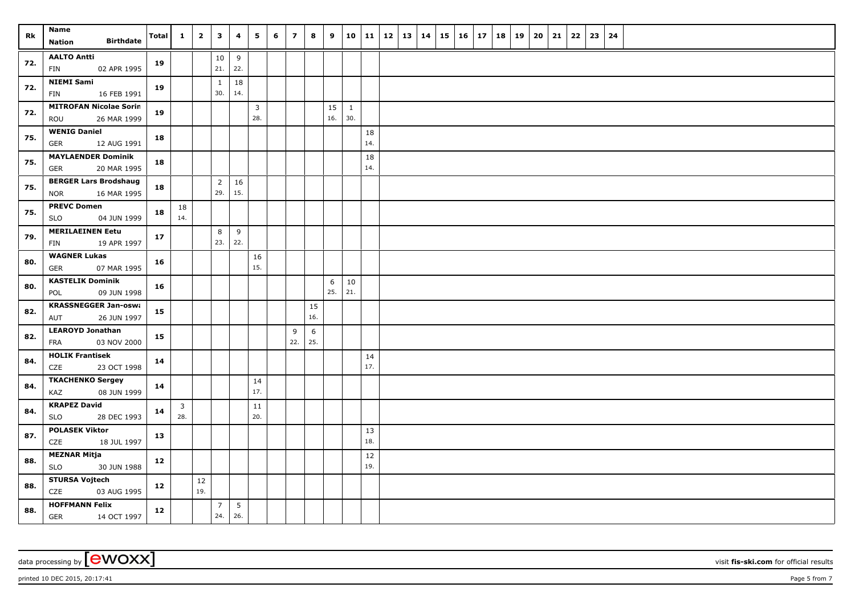| Rk  | Name<br><b>Birthdate</b><br>Nation                        | <b>Total</b> | $\mathbf{1}$                   | $\overline{2}$ | $\mathbf{3}$          | 4         | 5                     | 6 | $\overline{z}$ | 8         | 9         | 10                  | $\vert$ 11 | $12 \mid 13 \mid$ | 14 | 15 | $16 \mid 17$ | 18 | 19 | 20 | 21 | 22 | 23 | 24 |  |
|-----|-----------------------------------------------------------|--------------|--------------------------------|----------------|-----------------------|-----------|-----------------------|---|----------------|-----------|-----------|---------------------|------------|-------------------|----|----|--------------|----|----|----|----|----|----|----|--|
| 72. | <b>AALTO Antti</b><br>02 APR 1995<br>FIN                  | 19           |                                |                | $10\,$<br>21.         | 9<br>22.  |                       |   |                |           |           |                     |            |                   |    |    |              |    |    |    |    |    |    |    |  |
| 72. | <b>NIEMI Sami</b><br>16 FEB 1991<br>FIN                   | 19           |                                |                | $\mathbf{1}$<br>30.   | 18<br>14. |                       |   |                |           |           |                     |            |                   |    |    |              |    |    |    |    |    |    |    |  |
| 72. | <b>MITROFAN Nicolae Sorin</b><br>26 MAR 1999<br>ROU       | 19           |                                |                |                       |           | $\overline{3}$<br>28. |   |                |           | 15<br>16. | $\mathbf{1}$<br>30. |            |                   |    |    |              |    |    |    |    |    |    |    |  |
| 75. | <b>WENIG Daniel</b><br>GER<br>12 AUG 1991                 | 18           |                                |                |                       |           |                       |   |                |           |           |                     | 18<br>14.  |                   |    |    |              |    |    |    |    |    |    |    |  |
| 75. | <b>MAYLAENDER Dominik</b><br><b>GER</b><br>20 MAR 1995    | 18           |                                |                |                       |           |                       |   |                |           |           |                     | 18<br>14.  |                   |    |    |              |    |    |    |    |    |    |    |  |
| 75. | <b>BERGER Lars Brodshaug</b><br>16 MAR 1995<br><b>NOR</b> | 18           |                                |                | $\overline{2}$<br>29. | 16<br>15. |                       |   |                |           |           |                     |            |                   |    |    |              |    |    |    |    |    |    |    |  |
| 75. | <b>PREVC Domen</b><br><b>SLO</b><br>04 JUN 1999           | 18           | 18<br>14.                      |                |                       |           |                       |   |                |           |           |                     |            |                   |    |    |              |    |    |    |    |    |    |    |  |
| 79. | <b>MERILAEINEN Eetu</b><br>19 APR 1997<br>FIN             | 17           |                                |                | 8<br>23.              | 9<br>22.  |                       |   |                |           |           |                     |            |                   |    |    |              |    |    |    |    |    |    |    |  |
| 80. | <b>WAGNER Lukas</b><br>07 MAR 1995<br>GER                 | 16           |                                |                |                       |           | 16<br>15.             |   |                |           |           |                     |            |                   |    |    |              |    |    |    |    |    |    |    |  |
| 80. | <b>KASTELIK Dominik</b><br>09 JUN 1998<br>POL             | 16           |                                |                |                       |           |                       |   |                |           | 6<br>25.  | 10<br>21.           |            |                   |    |    |              |    |    |    |    |    |    |    |  |
| 82. | <b>KRASSNEGGER Jan-oswa</b><br>AUT<br>26 JUN 1997         | 15           |                                |                |                       |           |                       |   |                | 15<br>16. |           |                     |            |                   |    |    |              |    |    |    |    |    |    |    |  |
| 82. | <b>LEAROYD Jonathan</b><br>03 NOV 2000<br>FRA             | 15           |                                |                |                       |           |                       |   | 9<br>22.       | 6<br>25.  |           |                     |            |                   |    |    |              |    |    |    |    |    |    |    |  |
| 84. | <b>HOLIK Frantisek</b><br>CZE<br>23 OCT 1998              | 14           |                                |                |                       |           |                       |   |                |           |           |                     | 14<br>17.  |                   |    |    |              |    |    |    |    |    |    |    |  |
| 84. | <b>TKACHENKO Sergey</b><br>08 JUN 1999<br>KAZ             | 14           |                                |                |                       |           | 14<br>17.             |   |                |           |           |                     |            |                   |    |    |              |    |    |    |    |    |    |    |  |
| 84. | <b>KRAPEZ David</b><br>28 DEC 1993<br>SLO                 | 14           | $\overline{\mathbf{3}}$<br>28. |                |                       |           | 11<br>20.             |   |                |           |           |                     |            |                   |    |    |              |    |    |    |    |    |    |    |  |
| 87. | <b>POLASEK Viktor</b><br>CZE<br>18 JUL 1997               | 13           |                                |                |                       |           |                       |   |                |           |           |                     | 13<br>18.  |                   |    |    |              |    |    |    |    |    |    |    |  |
| 88. | <b>MEZNAR Mitja</b><br>30 JUN 1988<br><b>SLO</b>          | 12           |                                |                |                       |           |                       |   |                |           |           |                     | 12<br>19.  |                   |    |    |              |    |    |    |    |    |    |    |  |
| 88. | <b>STURSA Vojtech</b><br>CZE<br>03 AUG 1995               | 12           |                                | 12<br>19.      |                       |           |                       |   |                |           |           |                     |            |                   |    |    |              |    |    |    |    |    |    |    |  |
| 88. | <b>HOFFMANN Felix</b><br><b>GER</b><br>14 OCT 1997        | 12           |                                |                | $\overline{7}$<br>24. | 5<br>26.  |                       |   |                |           |           |                     |            |                   |    |    |              |    |    |    |    |    |    |    |  |

 $p$ rinted 10 DEC 2015, 20:17:41  $p$ age 5 from 7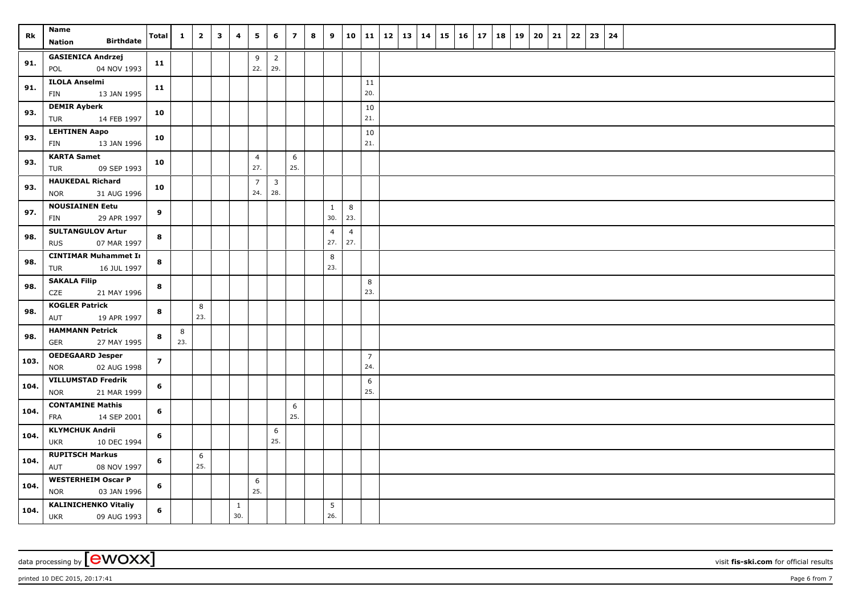| Rk   | Name<br><b>Birthdate</b><br>Nation                       | <b>Total</b>   | $\mathbf{1}$ | $\overline{2}$ | $\mathbf{3}$ | 4                   | 5                     | 6                              | $\overline{\mathbf{z}}$ | 8 | 9                     | 10                    | $\vert$ 11            | $12 \mid 13$ | 14 | 15 | $16 \mid 17$ | 18 | 19 | 20 | 21 | 22 | 23 | 24 |  |  |  |
|------|----------------------------------------------------------|----------------|--------------|----------------|--------------|---------------------|-----------------------|--------------------------------|-------------------------|---|-----------------------|-----------------------|-----------------------|--------------|----|----|--------------|----|----|----|----|----|----|----|--|--|--|
| 91.  | <b>GASIENICA Andrzej</b><br>04 NOV 1993<br>POL           | 11             |              |                |              |                     | 9<br>22.              | $\overline{2}$<br>29.          |                         |   |                       |                       |                       |              |    |    |              |    |    |    |    |    |    |    |  |  |  |
| 91.  | <b>ILOLA Anselmi</b><br>FIN<br>13 JAN 1995               | 11             |              |                |              |                     |                       |                                |                         |   |                       |                       | 11<br>20.             |              |    |    |              |    |    |    |    |    |    |    |  |  |  |
| 93.  | <b>DEMIR Ayberk</b><br>14 FEB 1997<br>TUR                | 10             |              |                |              |                     |                       |                                |                         |   |                       |                       | 10<br>21.             |              |    |    |              |    |    |    |    |    |    |    |  |  |  |
| 93.  | <b>LEHTINEN Aapo</b><br>FIN<br>13 JAN 1996               | 10             |              |                |              |                     |                       |                                |                         |   |                       |                       | 10<br>21.             |              |    |    |              |    |    |    |    |    |    |    |  |  |  |
| 93.  | <b>KARTA Samet</b><br>09 SEP 1993<br>TUR                 | 10             |              |                |              |                     | $\overline{4}$<br>27. |                                | 6<br>25.                |   |                       |                       |                       |              |    |    |              |    |    |    |    |    |    |    |  |  |  |
| 93.  | <b>HAUKEDAL Richard</b><br>31 AUG 1996<br><b>NOR</b>     | 10             |              |                |              |                     | $\overline{7}$<br>24. | $\overline{\mathbf{3}}$<br>28. |                         |   |                       |                       |                       |              |    |    |              |    |    |    |    |    |    |    |  |  |  |
| 97.  | <b>NOUSIAINEN Eetu</b><br>29 APR 1997<br><b>FIN</b>      | 9              |              |                |              |                     |                       |                                |                         |   | $\mathbf{1}$<br>30.   | 8<br>23.              |                       |              |    |    |              |    |    |    |    |    |    |    |  |  |  |
| 98.  | <b>SULTANGULOV Artur</b><br><b>RUS</b><br>07 MAR 1997    | 8              |              |                |              |                     |                       |                                |                         |   | $\overline{4}$<br>27. | $\overline{4}$<br>27. |                       |              |    |    |              |    |    |    |    |    |    |    |  |  |  |
| 98.  | <b>CINTIMAR Muhammet Ir</b><br>16 JUL 1997<br>TUR        | 8              |              |                |              |                     |                       |                                |                         |   | 8<br>23.              |                       |                       |              |    |    |              |    |    |    |    |    |    |    |  |  |  |
| 98.  | <b>SAKALA Filip</b><br>CZE<br>21 MAY 1996                | 8              |              |                |              |                     |                       |                                |                         |   |                       |                       | 8<br>23.              |              |    |    |              |    |    |    |    |    |    |    |  |  |  |
| 98.  | <b>KOGLER Patrick</b><br>19 APR 1997<br>AUT              | 8              |              | 8<br>23.       |              |                     |                       |                                |                         |   |                       |                       |                       |              |    |    |              |    |    |    |    |    |    |    |  |  |  |
| 98.  | <b>HAMMANN Petrick</b><br><b>GER</b><br>27 MAY 1995      | 8              | 8<br>23.     |                |              |                     |                       |                                |                         |   |                       |                       |                       |              |    |    |              |    |    |    |    |    |    |    |  |  |  |
| 103. | <b>OEDEGAARD Jesper</b><br>02 AUG 1998<br><b>NOR</b>     | $\overline{z}$ |              |                |              |                     |                       |                                |                         |   |                       |                       | $\overline{7}$<br>24. |              |    |    |              |    |    |    |    |    |    |    |  |  |  |
| 104. | <b>VILLUMSTAD Fredrik</b><br>21 MAR 1999<br><b>NOR</b>   | 6              |              |                |              |                     |                       |                                |                         |   |                       |                       | 6<br>25.              |              |    |    |              |    |    |    |    |    |    |    |  |  |  |
| 104. | <b>CONTAMINE Mathis</b><br>14 SEP 2001<br>FRA            | 6              |              |                |              |                     |                       |                                | 6<br>25.                |   |                       |                       |                       |              |    |    |              |    |    |    |    |    |    |    |  |  |  |
| 104. | <b>KLYMCHUK Andrii</b><br>10 DEC 1994<br><b>UKR</b>      | 6              |              |                |              |                     |                       | 6<br>25.                       |                         |   |                       |                       |                       |              |    |    |              |    |    |    |    |    |    |    |  |  |  |
| 104. | <b>RUPITSCH Markus</b><br>08 NOV 1997<br>AUT             | 6              |              | 6<br>25.       |              |                     |                       |                                |                         |   |                       |                       |                       |              |    |    |              |    |    |    |    |    |    |    |  |  |  |
| 104. | <b>WESTERHEIM Oscar P</b><br><b>NOR</b><br>03 JAN 1996   | 6              |              |                |              |                     | 6<br>25.              |                                |                         |   |                       |                       |                       |              |    |    |              |    |    |    |    |    |    |    |  |  |  |
| 104. | <b>KALINICHENKO Vitaliy</b><br><b>UKR</b><br>09 AUG 1993 | 6              |              |                |              | $\mathbf{1}$<br>30. |                       |                                |                         |   | 5<br>26.              |                       |                       |              |    |    |              |    |    |    |    |    |    |    |  |  |  |

 $p$ rinted 10 DEC 2015, 20:17:41  $p$ age 6 from 7